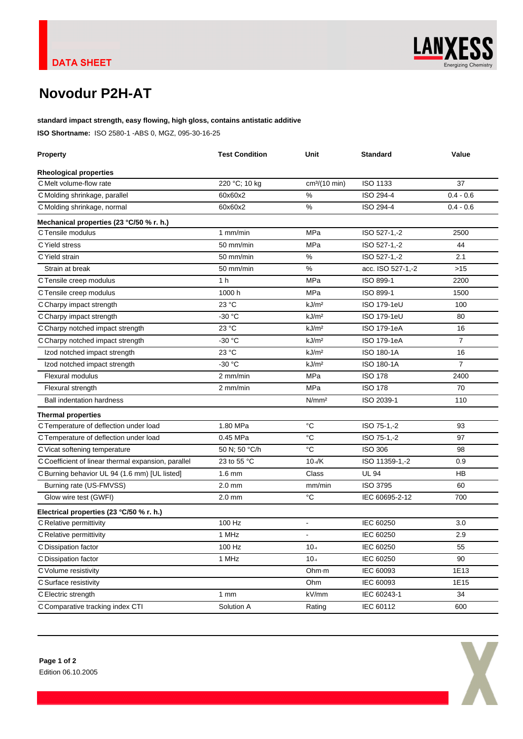

# **Novodur P2H-AT**

**standard impact strength, easy flowing, high gloss, contains antistatic additive ISO Shortname:** ISO 2580-1 -ABS 0, MGZ, 095-30-16-25

| <b>Property</b>                                     | <b>Test Condition</b> | Unit                      | Standard           | Value          |
|-----------------------------------------------------|-----------------------|---------------------------|--------------------|----------------|
| <b>Rheological properties</b>                       |                       |                           |                    |                |
| C Melt volume-flow rate                             | 220 °C; 10 kg         | cm <sup>3</sup> /(10 min) | ISO 1133           | 37             |
| C Molding shrinkage, parallel                       | 60x60x2               | %                         | ISO 294-4          | $0.4 - 0.6$    |
| C Molding shrinkage, normal                         | 60x60x2               | %                         | ISO 294-4          | $0.4 - 0.6$    |
| Mechanical properties (23 °C/50 % r. h.)            |                       |                           |                    |                |
| C Tensile modulus                                   | $1$ mm/min            | MPa                       | ISO 527-1,-2       | 2500           |
| C Yield stress                                      | 50 mm/min             | MPa                       | ISO 527-1,-2       | 44             |
| C Yield strain                                      | 50 mm/min             | %                         | ISO 527-1,-2       | 2.1            |
| Strain at break                                     | 50 mm/min             | %                         | acc. ISO 527-1,-2  | >15            |
| C Tensile creep modulus                             | 1 <sub>h</sub>        | MPa                       | ISO 899-1          | 2200           |
| C Tensile creep modulus                             | 1000 h                | MPa                       | ISO 899-1          | 1500           |
| C Charpy impact strength                            | 23 °C                 | kJ/m <sup>2</sup>         | ISO 179-1eU        | 100            |
| C Charpy impact strength                            | $-30 °C$              | kJ/m <sup>2</sup>         | <b>ISO 179-1eU</b> | 80             |
| C Charpy notched impact strength                    | 23 °C                 | kJ/m <sup>2</sup>         | ISO 179-1eA        | 16             |
| C Charpy notched impact strength                    | $-30 °C$              | kJ/m <sup>2</sup>         | ISO 179-1eA        | $\overline{7}$ |
| Izod notched impact strength                        | 23 °C                 | kJ/m <sup>2</sup>         | ISO 180-1A         | 16             |
| Izod notched impact strength                        | -30 °C                | kJ/m <sup>2</sup>         | ISO 180-1A         | $\overline{7}$ |
| Flexural modulus                                    | 2 mm/min              | MPa                       | <b>ISO 178</b>     | 2400           |
| Flexural strength                                   | 2 mm/min              | MPa                       | <b>ISO 178</b>     | 70             |
| <b>Ball indentation hardness</b>                    |                       | N/mm <sup>2</sup>         | ISO 2039-1         | 110            |
| <b>Thermal properties</b>                           |                       |                           |                    |                |
| C Temperature of deflection under load              | 1.80 MPa              | $^{\circ}C$               | ISO 75-1,-2        | 93             |
| C Temperature of deflection under load              | 0.45 MPa              | $^{\circ}C$               | ISO 75-1,-2        | 97             |
| C Vicat softening temperature                       | 50 N; 50 °C/h         | °C                        | <b>ISO 306</b>     | 98             |
| C Coefficient of linear thermal expansion, parallel | 23 to 55 °C           | 10.4/K                    | ISO 11359-1,-2     | 0.9            |
| C Burning behavior UL 94 (1.6 mm) [UL listed]       | $1.6$ mm              | Class                     | UL 94              | HB             |
| Burning rate (US-FMVSS)                             | $2.0$ mm              | mm/min                    | <b>ISO 3795</b>    | 60             |
| Glow wire test (GWFI)                               | $2.0$ mm              | °C                        | IEC 60695-2-12     | 700            |
| Electrical properties (23 °C/50 % r. h.)            |                       |                           |                    |                |
| C Relative permittivity                             | 100 Hz                |                           | IEC 60250          | 3.0            |
| C Relative permittivity                             | 1 MHz                 |                           | IEC 60250          | 2.9            |
| C Dissipation factor                                | 100 Hz                | 10 4                      | <b>IEC 60250</b>   | 55             |
| C Dissipation factor                                | 1 MHz                 | $10 - 4$                  | IEC 60250          | 90             |
| C Volume resistivity                                |                       | Ohm·m                     | IEC 60093          | 1E13           |
| C Surface resistivity                               |                       | Ohm                       | IEC 60093          | 1E15           |
| C Electric strength                                 | $1 \, \text{mm}$      | kV/mm                     | IEC 60243-1        | 34             |
| C Comparative tracking index CTI                    | Solution A            | Rating                    | IEC 60112          | 600            |
|                                                     |                       |                           |                    |                |

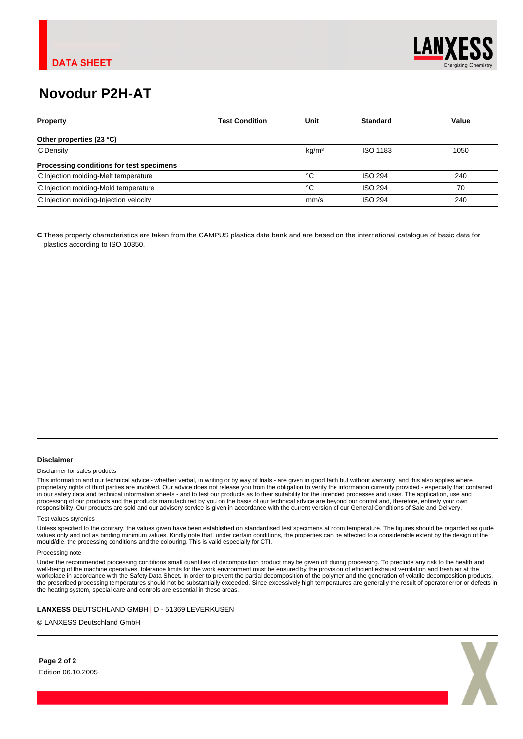

# **Novodur P2H-AT**

| <b>Property</b>                          | <b>Test Condition</b> | Unit              | <b>Standard</b> | Value |
|------------------------------------------|-----------------------|-------------------|-----------------|-------|
| Other properties (23 °C)                 |                       |                   |                 |       |
| C Density                                |                       | kq/m <sup>3</sup> | ISO 1183        | 1050  |
| Processing conditions for test specimens |                       |                   |                 |       |
| C Injection molding-Melt temperature     |                       | °C                | <b>ISO 294</b>  | 240   |
| C Injection molding-Mold temperature     |                       | °C                | <b>ISO 294</b>  | 70    |
| C Injection molding-Injection velocity   |                       | mm/s              | <b>ISO 294</b>  | 240   |

**C** These property characteristics are taken from the CAMPUS plastics data bank and are based on the international catalogue of basic data for plastics according to ISO 10350.

### **Disclaimer**

#### Disclaimer for sales products

This information and our technical advice - whether verbal, in writing or by way of trials - are given in good faith but without warranty, and this also applies where proprietary rights of third parties are involved. Our advice does not release you from the obligation to verify the information currently provided - especially that contained in our safety data and technical information sheets - and to test our products as to their suitability for the intended processes and uses. The application, use and processing of our products and the products manufactured by you on the basis of our technical advice are beyond our control and, therefore, entirely your own responsibility. Our products are sold and our advisory service is given in accordance with the current version of our General Conditions of Sale and Delivery.

#### Test values styrenics

Unless specified to the contrary, the values given have been established on standardised test specimens at room temperature. The figures should be regarded as guide values only and not as binding minimum values. Kindly note that, under certain conditions, the properties can be affected to a considerable extent by the design of the<br>mould/die, the processing conditions and the colouring

#### Processing note

Under the recommended processing conditions small quantities of decomposition product may be given off during processing. To preclude any risk to the health and<br>well-being of the machine operatives, tolerance limits for th workplace in accordance with the Safety Data Sheet. In order to prevent the partial decomposition of the polymer and the generation of volatile decomposition products, the prescribed processing temperatures should not be substantially exceeded. Since excessively high temperatures are generally the result of operator error or defects in the heating system, special care and controls are essential in these areas.

**LANXESS** DEUTSCHLAND GMBH | D - 51369 LEVERKUSEN

© LANXESS Deutschland GmbH

**Page 2 of 2** Edition 06.10.2005

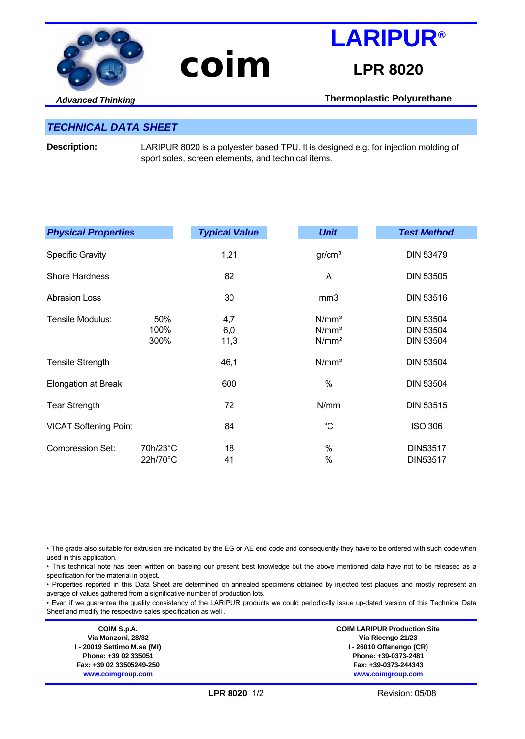

# **coim**

# **LPR 8020**

**LARIPUR®**

*Advanced Thinking*

**Thermoplastic Polyurethane**

## *TECHNICAL DATA SHEET*

**Description:** LARIPUR 8020 is a polyester based TPU. It is designed e.g. for injection molding of sport soles, screen elements, and technical items.

| <b>Physical Properties</b>   |                      | <b>Typical Value</b> | <b>Unit</b>                                                 | <b>Test Method</b>                                       |
|------------------------------|----------------------|----------------------|-------------------------------------------------------------|----------------------------------------------------------|
| <b>Specific Gravity</b>      |                      | 1,21                 | gr/cm <sup>3</sup>                                          | <b>DIN 53479</b>                                         |
| <b>Shore Hardness</b>        |                      | 82                   | A                                                           | <b>DIN 53505</b>                                         |
| <b>Abrasion Loss</b>         |                      | 30                   | mm <sub>3</sub>                                             | <b>DIN 53516</b>                                         |
| Tensile Modulus:             | 50%<br>100%<br>300%  | 4,7<br>6,0<br>11,3   | N/mm <sup>2</sup><br>N/mm <sup>2</sup><br>N/mm <sup>2</sup> | <b>DIN 53504</b><br><b>DIN 53504</b><br><b>DIN 53504</b> |
| <b>Tensile Strength</b>      |                      | 46,1                 | N/mm <sup>2</sup>                                           | <b>DIN 53504</b>                                         |
| <b>Elongation at Break</b>   |                      | 600                  | $\%$                                                        | <b>DIN 53504</b>                                         |
| <b>Tear Strength</b>         |                      | 72                   | N/mm                                                        | <b>DIN 53515</b>                                         |
| <b>VICAT Softening Point</b> |                      | 84                   | $^{\circ}C$                                                 | <b>ISO 306</b>                                           |
| <b>Compression Set:</b>      | 70h/23°C<br>22h/70°C | 18<br>41             | $\%$<br>$\%$                                                | DIN53517<br>DIN53517                                     |

• The grade also suitable for extrusion are indicated by the EG or AE end code and consequently they have to be ordered with such code when used in this application.

• This technical note has been written on baseing our present best knowledge but the above mentioned data have not to be released as a specification for the material in object.

• Properties reported in this Data Sheet are determined on annealed specimens obtained by injected test plaques and mostly represent an average of values gathered from a significative number of production lots.

• Even if we guarantee the quality consistency of the LARIPUR products we could periodically issue up-dated version of this Technical Data Sheet and modify the respective sales specification as well .

**COIM S.p.A. Via Manzoni, 28/32 I - 20019 Settimo M.se (MI) Phone: +39 02 335051 Fax: +39 02 33505249-250 www.coimgroup.com**

**COIM LARIPUR Production Site Via Ricengo 21/23 I - 26010 Offanengo (CR) Phone: +39-0373-2481 Fax: +39-0373-244343 www.coimgroup.com**